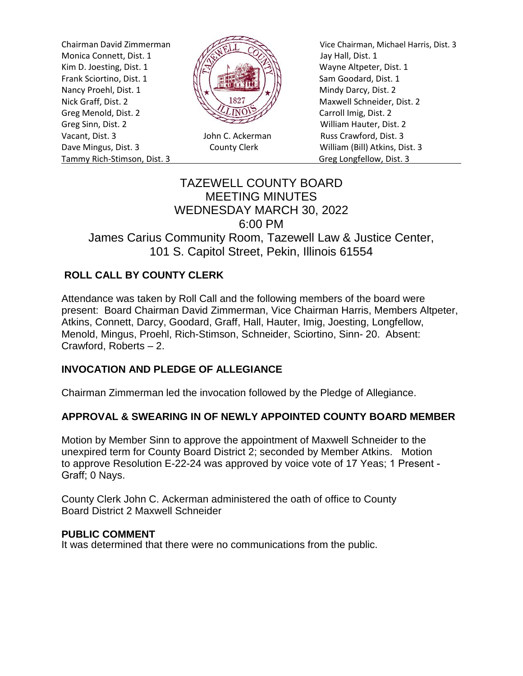Monica Connett, Dist. 1  $\frac{1}{\sqrt{2}}$  Jay Hall, Dist. 1 Kim D. Joesting, Dist. 1  $\sqrt{|\mathcal{R}|}$  N Wayne Altpeter, Dist. 1 Frank Sciortino, Dist. 1  $\left[\begin{array}{cc} \begin{array}{ccc} \dots & \dots & \dots \\ \dots & \dots & \dots \end{array} \right] & \begin{array}{ccc} \dots & \dots & \dots \\ \dots & \dots & \dots \end{array} \end{array} \right]$  Sam Goodard, Dist. 1 Nancy Proehl, Dist. 1  $\left\| \cdot \right\|$ Nick Graff, Dist. 2  $\mathbb{N}\setminus\mathbb{R}^2$  Maxwell Schneider, Dist. 2 Greg Menold, Dist. 2 **Carroll Imig, Dist. 2** Carroll Imig, Dist. 2 Greg Sinn, Dist. 2 William Hauter, Dist. 2 Vacant, Dist. 3 John C. Ackerman Russ Crawford, Dist. 3 Dave Mingus, Dist. 3 County Clerk William (Bill) Atkins, Dist. 3 Tammy Rich-Stimson, Dist. 3 Greg Longfellow, Dist. 3



Chairman David Zimmerman Vice Chairman, Michael Harris, Dist. 3

# TAZEWELL COUNTY BOARD MEETING MINUTES WEDNESDAY MARCH 30, 2022 6:00 PM James Carius Community Room, Tazewell Law & Justice Center, 101 S. Capitol Street, Pekin, Illinois 61554

# **ROLL CALL BY COUNTY CLERK**

Attendance was taken by Roll Call and the following members of the board were present: Board Chairman David Zimmerman, Vice Chairman Harris, Members Altpeter, Atkins, Connett, Darcy, Goodard, Graff, Hall, Hauter, Imig, Joesting, Longfellow, Menold, Mingus, Proehl, Rich-Stimson, Schneider, Sciortino, Sinn- 20. Absent: Crawford, Roberts – 2.

#### **INVOCATION AND PLEDGE OF ALLEGIANCE**

Chairman Zimmerman led the invocation followed by the Pledge of Allegiance.

#### **APPROVAL & SWEARING IN OF NEWLY APPOINTED COUNTY BOARD MEMBER**

Motion by Member Sinn to approve the appointment of Maxwell Schneider to the unexpired term for County Board District 2; seconded by Member Atkins. Motion to approve Resolution E-22-24 was approved by voice vote of 17 Yeas; 1 Present - Graff; 0 Nays.

County Clerk John C. Ackerman administered the oath of office to County Board District 2 Maxwell Schneider

#### **PUBLIC COMMENT**

It was determined that there were no communications from the public.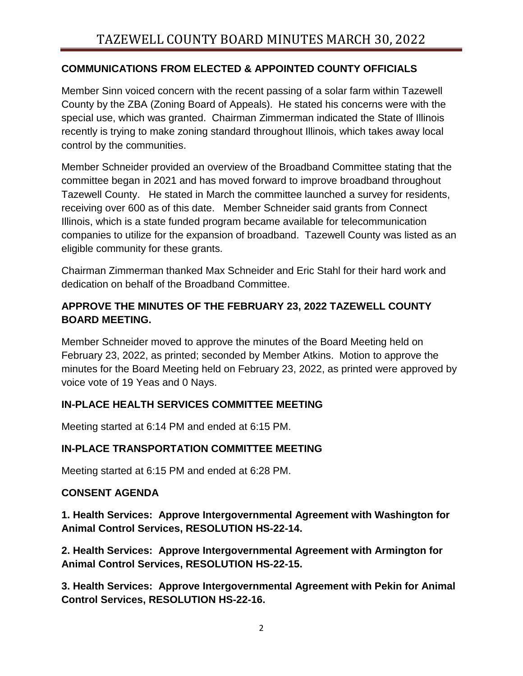## **COMMUNICATIONS FROM ELECTED & APPOINTED COUNTY OFFICIALS**

Member Sinn voiced concern with the recent passing of a solar farm within Tazewell County by the ZBA (Zoning Board of Appeals). He stated his concerns were with the special use, which was granted. Chairman Zimmerman indicated the State of Illinois recently is trying to make zoning standard throughout Illinois, which takes away local control by the communities.

Member Schneider provided an overview of the Broadband Committee stating that the committee began in 2021 and has moved forward to improve broadband throughout Tazewell County. He stated in March the committee launched a survey for residents, receiving over 600 as of this date. Member Schneider said grants from Connect Illinois, which is a state funded program became available for telecommunication companies to utilize for the expansion of broadband. Tazewell County was listed as an eligible community for these grants.

Chairman Zimmerman thanked Max Schneider and Eric Stahl for their hard work and dedication on behalf of the Broadband Committee.

# **APPROVE THE MINUTES OF THE FEBRUARY 23, 2022 TAZEWELL COUNTY BOARD MEETING.**

Member Schneider moved to approve the minutes of the Board Meeting held on February 23, 2022, as printed; seconded by Member Atkins. Motion to approve the minutes for the Board Meeting held on February 23, 2022, as printed were approved by voice vote of 19 Yeas and 0 Nays.

# **IN-PLACE HEALTH SERVICES COMMITTEE MEETING**

Meeting started at 6:14 PM and ended at 6:15 PM.

# **IN-PLACE TRANSPORTATION COMMITTEE MEETING**

Meeting started at 6:15 PM and ended at 6:28 PM.

# **CONSENT AGENDA**

**1. Health Services: Approve Intergovernmental Agreement with Washington for Animal Control Services, RESOLUTION HS-22-14.** 

**2. Health Services: Approve Intergovernmental Agreement with Armington for Animal Control Services, RESOLUTION HS-22-15.** 

**3. Health Services: Approve Intergovernmental Agreement with Pekin for Animal Control Services, RESOLUTION HS-22-16.**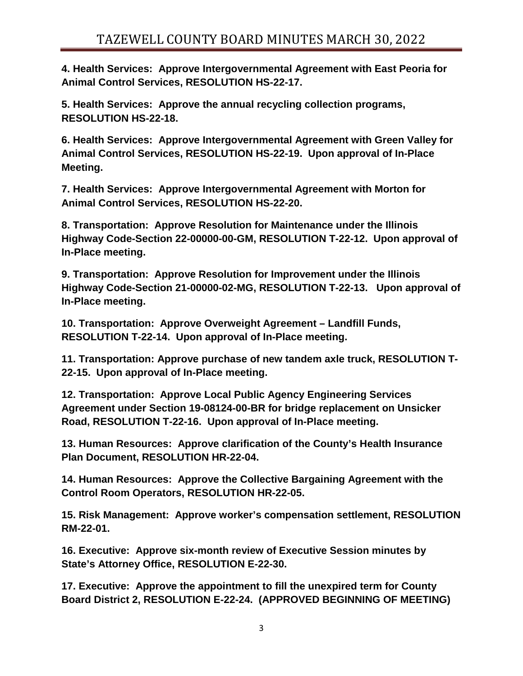**4. Health Services: Approve Intergovernmental Agreement with East Peoria for Animal Control Services, RESOLUTION HS-22-17.** 

**5. Health Services: Approve the annual recycling collection programs, RESOLUTION HS-22-18.** 

**6. Health Services: Approve Intergovernmental Agreement with Green Valley for Animal Control Services, RESOLUTION HS-22-19. Upon approval of In-Place Meeting.**

**7. Health Services: Approve Intergovernmental Agreement with Morton for Animal Control Services, RESOLUTION HS-22-20.** 

**8. Transportation: Approve Resolution for Maintenance under the Illinois Highway Code-Section 22-00000-00-GM, RESOLUTION T-22-12. Upon approval of In-Place meeting.**

**9. Transportation: Approve Resolution for Improvement under the Illinois Highway Code-Section 21-00000-02-MG, RESOLUTION T-22-13. Upon approval of In-Place meeting.**

**10. Transportation: Approve Overweight Agreement – Landfill Funds, RESOLUTION T-22-14. Upon approval of In-Place meeting.**

**11. Transportation: Approve purchase of new tandem axle truck, RESOLUTION T-22-15. Upon approval of In-Place meeting.**

**12. Transportation: Approve Local Public Agency Engineering Services Agreement under Section 19-08124-00-BR for bridge replacement on Unsicker Road, RESOLUTION T-22-16. Upon approval of In-Place meeting.**

**13. Human Resources: Approve clarification of the County's Health Insurance Plan Document, RESOLUTION HR-22-04.** 

**14. Human Resources: Approve the Collective Bargaining Agreement with the Control Room Operators, RESOLUTION HR-22-05.** 

**15. Risk Management: Approve worker's compensation settlement, RESOLUTION RM-22-01.** 

**16. Executive: Approve six-month review of Executive Session minutes by State's Attorney Office, RESOLUTION E-22-30.** 

**17. Executive: Approve the appointment to fill the unexpired term for County Board District 2, RESOLUTION E-22-24. (APPROVED BEGINNING OF MEETING)**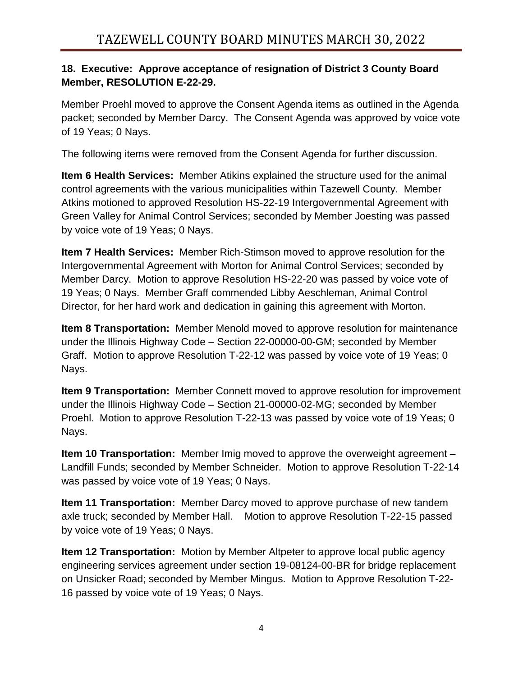## **18. Executive: Approve acceptance of resignation of District 3 County Board Member, RESOLUTION E-22-29.**

Member Proehl moved to approve the Consent Agenda items as outlined in the Agenda packet; seconded by Member Darcy. The Consent Agenda was approved by voice vote of 19 Yeas; 0 Nays.

The following items were removed from the Consent Agenda for further discussion.

**Item 6 Health Services:** Member Atikins explained the structure used for the animal control agreements with the various municipalities within Tazewell County. Member Atkins motioned to approved Resolution HS-22-19 Intergovernmental Agreement with Green Valley for Animal Control Services; seconded by Member Joesting was passed by voice vote of 19 Yeas; 0 Nays.

**Item 7 Health Services:** Member Rich-Stimson moved to approve resolution for the Intergovernmental Agreement with Morton for Animal Control Services; seconded by Member Darcy. Motion to approve Resolution HS-22-20 was passed by voice vote of 19 Yeas; 0 Nays. Member Graff commended Libby Aeschleman, Animal Control Director, for her hard work and dedication in gaining this agreement with Morton.

**Item 8 Transportation:** Member Menold moved to approve resolution for maintenance under the Illinois Highway Code – Section 22-00000-00-GM; seconded by Member Graff. Motion to approve Resolution T-22-12 was passed by voice vote of 19 Yeas; 0 Nays.

**Item 9 Transportation:** Member Connett moved to approve resolution for improvement under the Illinois Highway Code – Section 21-00000-02-MG; seconded by Member Proehl. Motion to approve Resolution T-22-13 was passed by voice vote of 19 Yeas; 0 Nays.

**Item 10 Transportation:** Member Imig moved to approve the overweight agreement – Landfill Funds; seconded by Member Schneider. Motion to approve Resolution T-22-14 was passed by voice vote of 19 Yeas; 0 Nays.

**Item 11 Transportation:** Member Darcy moved to approve purchase of new tandem axle truck; seconded by Member Hall. Motion to approve Resolution T-22-15 passed by voice vote of 19 Yeas; 0 Nays.

**Item 12 Transportation:** Motion by Member Altpeter to approve local public agency engineering services agreement under section 19-08124-00-BR for bridge replacement on Unsicker Road; seconded by Member Mingus. Motion to Approve Resolution T-22- 16 passed by voice vote of 19 Yeas; 0 Nays.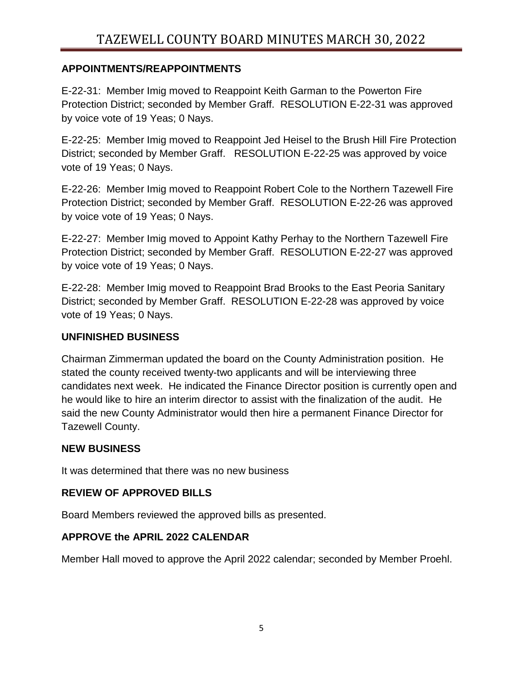### **APPOINTMENTS/REAPPOINTMENTS**

E-22-31: Member Imig moved to Reappoint Keith Garman to the Powerton Fire Protection District; seconded by Member Graff. RESOLUTION E-22-31 was approved by voice vote of 19 Yeas; 0 Nays.

E-22-25: Member Imig moved to Reappoint Jed Heisel to the Brush Hill Fire Protection District; seconded by Member Graff. RESOLUTION E-22-25 was approved by voice vote of 19 Yeas; 0 Nays.

E-22-26: Member Imig moved to Reappoint Robert Cole to the Northern Tazewell Fire Protection District; seconded by Member Graff. RESOLUTION E-22-26 was approved by voice vote of 19 Yeas; 0 Nays.

E-22-27: Member Imig moved to Appoint Kathy Perhay to the Northern Tazewell Fire Protection District; seconded by Member Graff. RESOLUTION E-22-27 was approved by voice vote of 19 Yeas; 0 Nays.

E-22-28: Member Imig moved to Reappoint Brad Brooks to the East Peoria Sanitary District; seconded by Member Graff. RESOLUTION E-22-28 was approved by voice vote of 19 Yeas; 0 Nays.

#### **UNFINISHED BUSINESS**

Chairman Zimmerman updated the board on the County Administration position. He stated the county received twenty-two applicants and will be interviewing three candidates next week. He indicated the Finance Director position is currently open and he would like to hire an interim director to assist with the finalization of the audit. He said the new County Administrator would then hire a permanent Finance Director for Tazewell County.

#### **NEW BUSINESS**

It was determined that there was no new business

# **REVIEW OF APPROVED BILLS**

Board Members reviewed the approved bills as presented.

# **APPROVE the APRIL 2022 CALENDAR**

Member Hall moved to approve the April 2022 calendar; seconded by Member Proehl.